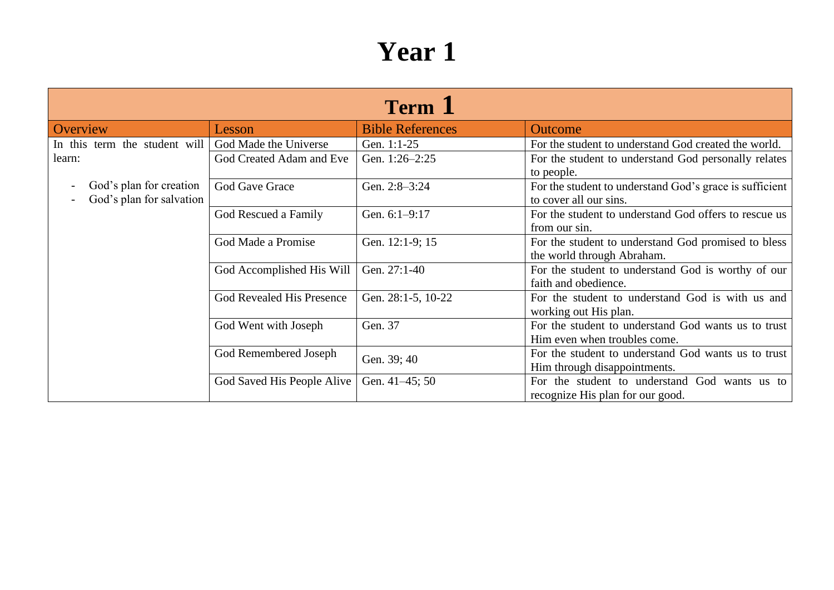| <b>Term</b> 1                 |                            |                         |                                                         |  |
|-------------------------------|----------------------------|-------------------------|---------------------------------------------------------|--|
| Overview                      | Lesson                     | <b>Bible References</b> | <b>Outcome</b>                                          |  |
| In this term the student will | God Made the Universe      | Gen. 1:1-25             | For the student to understand God created the world.    |  |
| learn:                        | God Created Adam and Eve   | Gen. 1:26-2:25          | For the student to understand God personally relates    |  |
|                               |                            |                         | to people.                                              |  |
| God's plan for creation       | God Gave Grace             | Gen. 2:8-3:24           | For the student to understand God's grace is sufficient |  |
| God's plan for salvation      |                            |                         | to cover all our sins.                                  |  |
|                               | God Rescued a Family       | Gen. 6:1-9:17           | For the student to understand God offers to rescue us   |  |
|                               |                            |                         | from our sin.                                           |  |
|                               | God Made a Promise         | Gen. 12:1-9; 15         | For the student to understand God promised to bless     |  |
|                               |                            |                         | the world through Abraham.                              |  |
|                               | God Accomplished His Will  | Gen. 27:1-40            | For the student to understand God is worthy of our      |  |
|                               |                            |                         | faith and obedience.                                    |  |
|                               | God Revealed His Presence  | Gen. 28:1-5, 10-22      | For the student to understand God is with us and        |  |
|                               |                            |                         | working out His plan.                                   |  |
|                               | God Went with Joseph       | Gen. 37                 | For the student to understand God wants us to trust     |  |
|                               |                            |                         | Him even when troubles come.                            |  |
|                               | God Remembered Joseph      | Gen. 39; 40             | For the student to understand God wants us to trust     |  |
|                               |                            |                         | Him through disappointments.                            |  |
|                               | God Saved His People Alive | Gen. 41-45; 50          | For the student to understand God wants us to           |  |
|                               |                            |                         | recognize His plan for our good.                        |  |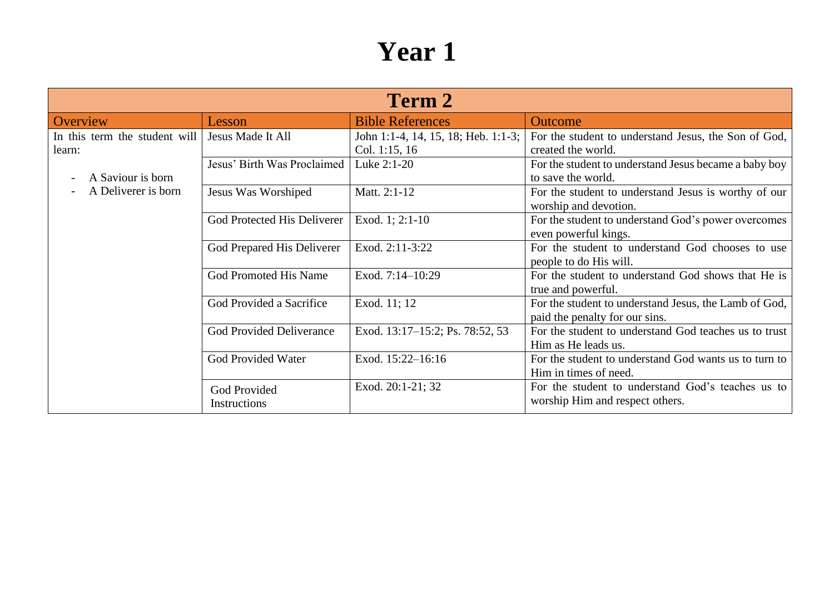| Term 2                                  |                                 |                                                      |                                                                                         |  |
|-----------------------------------------|---------------------------------|------------------------------------------------------|-----------------------------------------------------------------------------------------|--|
| Overview                                | Lesson                          | <b>Bible References</b>                              | <b>Outcome</b>                                                                          |  |
| In this term the student will<br>learn: | Jesus Made It All               | John 1:1-4, 14, 15, 18; Heb. 1:1-3;<br>Col. 1:15, 16 | For the student to understand Jesus, the Son of God,<br>created the world.              |  |
| A Saviour is born                       | Jesus' Birth Was Proclaimed     | Luke 2:1-20                                          | For the student to understand Jesus became a baby boy<br>to save the world.             |  |
| A Deliverer is born                     | Jesus Was Worshiped             | Matt. 2:1-12                                         | For the student to understand Jesus is worthy of our<br>worship and devotion.           |  |
|                                         | God Protected His Deliverer     | Exod. 1; 2:1-10                                      | For the student to understand God's power overcomes<br>even powerful kings.             |  |
|                                         | God Prepared His Deliverer      | Exod. 2:11-3:22                                      | For the student to understand God chooses to use<br>people to do His will.              |  |
|                                         | God Promoted His Name           | Exod. 7:14-10:29                                     | For the student to understand God shows that He is<br>true and powerful.                |  |
|                                         | God Provided a Sacrifice        | Exod. 11; 12                                         | For the student to understand Jesus, the Lamb of God,<br>paid the penalty for our sins. |  |
|                                         | <b>God Provided Deliverance</b> | Exod. 13:17–15:2; Ps. 78:52, 53                      | For the student to understand God teaches us to trust<br>Him as He leads us.            |  |
|                                         | God Provided Water              | Exod. 15:22-16:16                                    | For the student to understand God wants us to turn to<br>Him in times of need.          |  |
|                                         | God Provided<br>Instructions    | Exod. 20:1-21; 32                                    | For the student to understand God's teaches us to<br>worship Him and respect others.    |  |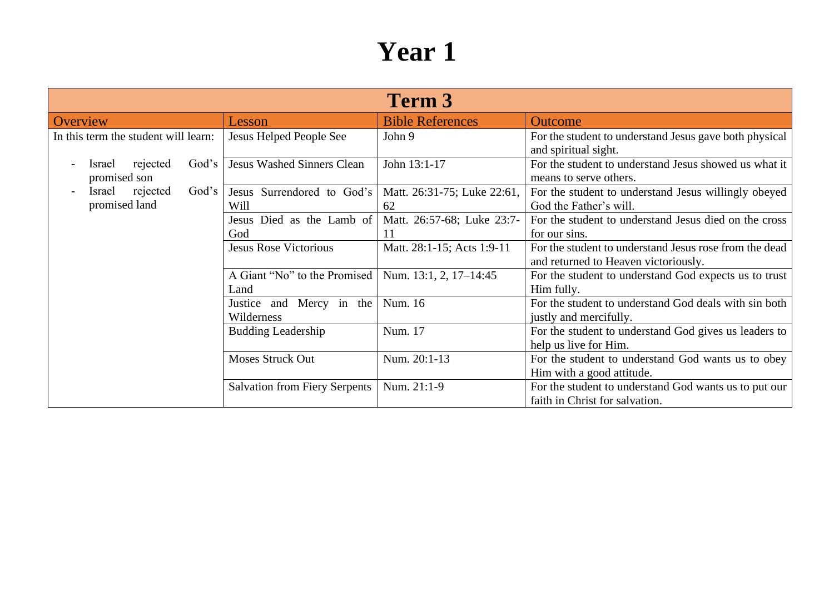| Term 3                                            |                                        |                                   |                                                                                                |  |
|---------------------------------------------------|----------------------------------------|-----------------------------------|------------------------------------------------------------------------------------------------|--|
| Overview                                          | Lesson                                 | <b>Bible References</b>           | <b>Outcome</b>                                                                                 |  |
| In this term the student will learn:              | Jesus Helped People See                | John 9                            | For the student to understand Jesus gave both physical<br>and spiritual sight.                 |  |
| God's<br>rejected<br><i>srael</i><br>promised son | <b>Jesus Washed Sinners Clean</b>      | John 13:1-17                      | For the student to understand Jesus showed us what it<br>means to serve others.                |  |
| rejected<br>God's<br>Israel<br>promised land      | Jesus Surrendored to God's<br>Will     | Matt. 26:31-75; Luke 22:61,<br>62 | For the student to understand Jesus willingly obeyed<br>God the Father's will.                 |  |
|                                                   | Jesus Died as the Lamb of<br>God       | Matt. 26:57-68; Luke 23:7-<br>11  | For the student to understand Jesus died on the cross<br>for our sins.                         |  |
|                                                   | <b>Jesus Rose Victorious</b>           | Matt. 28:1-15; Acts 1:9-11        | For the student to understand Jesus rose from the dead<br>and returned to Heaven victoriously. |  |
|                                                   | A Giant "No" to the Promised<br>Land   | Num. 13:1, 2, 17-14:45            | For the student to understand God expects us to trust<br>Him fully.                            |  |
|                                                   | Justice and Mercy in the<br>Wilderness | Num. 16                           | For the student to understand God deals with sin both<br>justly and mercifully.                |  |
|                                                   | <b>Budding Leadership</b>              | Num. 17                           | For the student to understand God gives us leaders to<br>help us live for Him.                 |  |
|                                                   | <b>Moses Struck Out</b>                | Num. 20:1-13                      | For the student to understand God wants us to obey<br>Him with a good attitude.                |  |
|                                                   | <b>Salvation from Fiery Serpents</b>   | Num. 21:1-9                       | For the student to understand God wants us to put our<br>faith in Christ for salvation.        |  |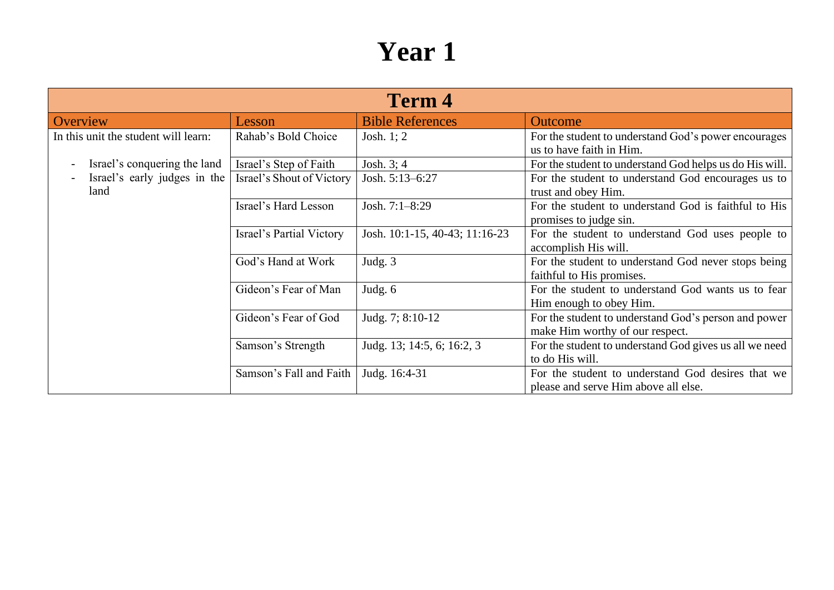| <b>Term 4</b>                                            |                           |                                |                                                                                           |  |
|----------------------------------------------------------|---------------------------|--------------------------------|-------------------------------------------------------------------------------------------|--|
| Overview                                                 | Lesson                    | <b>Bible References</b>        | <b>Outcome</b>                                                                            |  |
| In this unit the student will learn:                     | Rahab's Bold Choice       | Josh. $1:2$                    | For the student to understand God's power encourages<br>us to have faith in Him.          |  |
| Israel's conquering the land<br>$\overline{\phantom{a}}$ | Israel's Step of Faith    | Josh. $3; 4$                   | For the student to understand God helps us do His will.                                   |  |
| Israel's early judges in the<br>land                     | Israel's Shout of Victory | Josh. 5:13-6:27                | For the student to understand God encourages us to<br>trust and obey Him.                 |  |
|                                                          | Israel's Hard Lesson      | Josh. 7:1-8:29                 | For the student to understand God is faithful to His<br>promises to judge sin.            |  |
|                                                          | Israel's Partial Victory  | Josh. 10:1-15, 40-43; 11:16-23 | For the student to understand God uses people to<br>accomplish His will.                  |  |
|                                                          | God's Hand at Work        | Judg. 3                        | For the student to understand God never stops being<br>faithful to His promises.          |  |
|                                                          | Gideon's Fear of Man      | Judg. $6$                      | For the student to understand God wants us to fear<br>Him enough to obey Him.             |  |
|                                                          | Gideon's Fear of God      | Judg. 7; 8:10-12               | For the student to understand God's person and power<br>make Him worthy of our respect.   |  |
|                                                          | Samson's Strength         | Judg. 13; 14:5, 6; 16:2, 3     | For the student to understand God gives us all we need<br>to do His will.                 |  |
|                                                          | Samson's Fall and Faith   | Judg. 16:4-31                  | For the student to understand God desires that we<br>please and serve Him above all else. |  |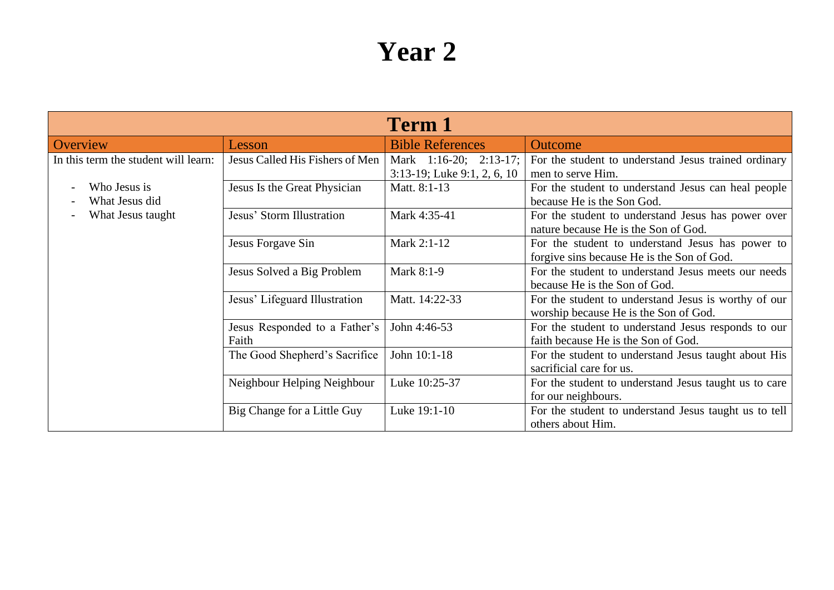| <b>Term 1</b>                        |                                        |                                                          |                                                                                                |  |
|--------------------------------------|----------------------------------------|----------------------------------------------------------|------------------------------------------------------------------------------------------------|--|
| Overview                             | Lesson                                 | <b>Bible References</b>                                  | <b>Outcome</b>                                                                                 |  |
| In this term the student will learn: | Jesus Called His Fishers of Men        | Mark 1:16-20; 2:13-17;<br>$3:13-19$ ; Luke 9:1, 2, 6, 10 | For the student to understand Jesus trained ordinary<br>men to serve Him.                      |  |
| Who Jesus is<br>What Jesus did       | Jesus Is the Great Physician           | Matt. 8:1-13                                             | For the student to understand Jesus can heal people<br>because He is the Son God.              |  |
| What Jesus taught                    | Jesus' Storm Illustration              | Mark 4:35-41                                             | For the student to understand Jesus has power over<br>nature because He is the Son of God.     |  |
|                                      | Jesus Forgave Sin                      | Mark 2:1-12                                              | For the student to understand Jesus has power to<br>forgive sins because He is the Son of God. |  |
|                                      | Jesus Solved a Big Problem             | Mark 8:1-9                                               | For the student to understand Jesus meets our needs<br>because He is the Son of God.           |  |
|                                      | Jesus' Lifeguard Illustration          | Matt. 14:22-33                                           | For the student to understand Jesus is worthy of our<br>worship because He is the Son of God.  |  |
|                                      | Jesus Responded to a Father's<br>Faith | John 4:46-53                                             | For the student to understand Jesus responds to our<br>faith because He is the Son of God.     |  |
|                                      | The Good Shepherd's Sacrifice          | John 10:1-18                                             | For the student to understand Jesus taught about His<br>sacrificial care for us.               |  |
|                                      | Neighbour Helping Neighbour            | Luke 10:25-37                                            | For the student to understand Jesus taught us to care<br>for our neighbours.                   |  |
|                                      | Big Change for a Little Guy            | Luke 19:1-10                                             | For the student to understand Jesus taught us to tell<br>others about Him.                     |  |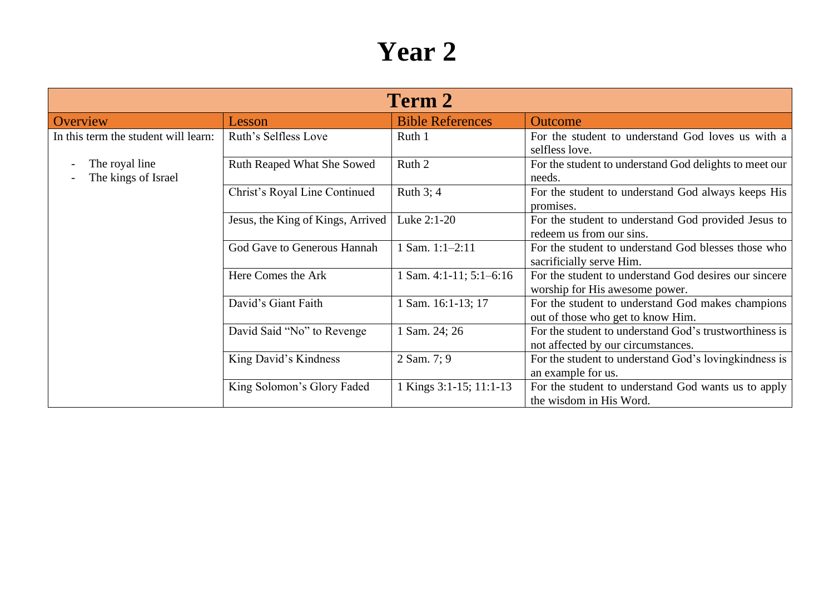| Term 2                                |                                   |                           |                                                                                              |  |
|---------------------------------------|-----------------------------------|---------------------------|----------------------------------------------------------------------------------------------|--|
| Overview                              | Lesson                            | <b>Bible References</b>   | Outcome                                                                                      |  |
| In this term the student will learn:  | Ruth's Selfless Love              | Ruth 1                    | For the student to understand God loves us with a<br>selfless love.                          |  |
| The royal line<br>The kings of Israel | Ruth Reaped What She Sowed        | Ruth 2                    | For the student to understand God delights to meet our<br>needs.                             |  |
|                                       | Christ's Royal Line Continued     | Ruth 3; 4                 | For the student to understand God always keeps His<br>promises.                              |  |
|                                       | Jesus, the King of Kings, Arrived | Luke 2:1-20               | For the student to understand God provided Jesus to<br>redeem us from our sins.              |  |
|                                       | God Gave to Generous Hannah       | 1 Sam. $1:1-2:11$         | For the student to understand God blesses those who<br>sacrificially serve Him.              |  |
|                                       | Here Comes the Ark                | 1 Sam. 4:1-11; $5:1-6:16$ | For the student to understand God desires our sincere<br>worship for His awesome power.      |  |
|                                       | David's Giant Faith               | 1 Sam. 16:1-13; 17        | For the student to understand God makes champions<br>out of those who get to know Him.       |  |
|                                       | David Said "No" to Revenge        | 1 Sam. 24; 26             | For the student to understand God's trustworthiness is<br>not affected by our circumstances. |  |
|                                       | King David's Kindness             | 2 Sam. 7; 9               | For the student to understand God's loving kindness is<br>an example for us.                 |  |
|                                       | King Solomon's Glory Faded        | 1 Kings 3:1-15; 11:1-13   | For the student to understand God wants us to apply<br>the wisdom in His Word.               |  |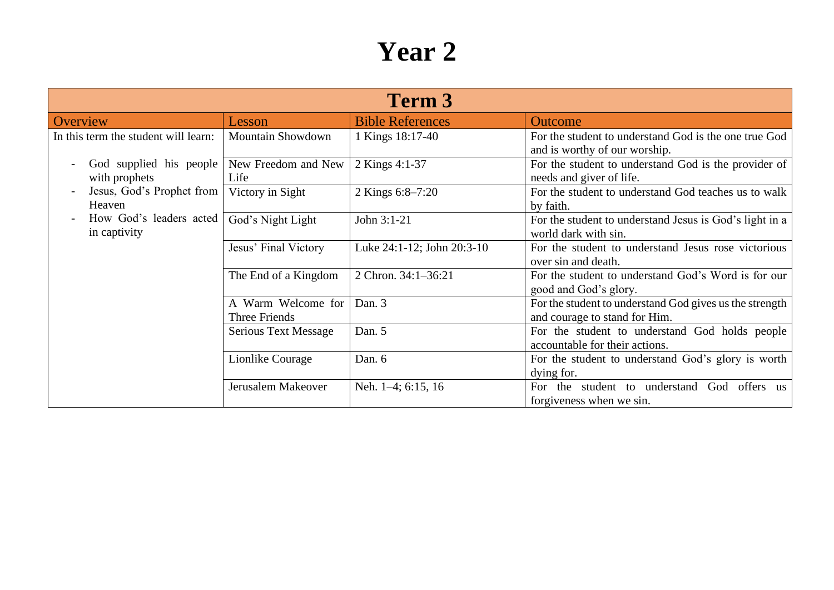| Term 3                                     |                                            |                            |                                                                                            |
|--------------------------------------------|--------------------------------------------|----------------------------|--------------------------------------------------------------------------------------------|
| Overview                                   | Lesson                                     | <b>Bible References</b>    | <b>Outcome</b>                                                                             |
| In this term the student will learn:       | <b>Mountain Showdown</b>                   | 1 Kings 18:17-40           | For the student to understand God is the one true God<br>and is worthy of our worship.     |
| God supplied his people  <br>with prophets | New Freedom and New<br>Life                | 2 Kings 4:1-37             | For the student to understand God is the provider of<br>needs and giver of life.           |
| Jesus, God's Prophet from<br>Heaven        | Victory in Sight                           | 2 Kings 6:8-7:20           | For the student to understand God teaches us to walk<br>by faith.                          |
| How God's leaders acted<br>in captivity    | God's Night Light                          | John 3:1-21                | For the student to understand Jesus is God's light in a<br>world dark with sin.            |
|                                            | Jesus' Final Victory                       | Luke 24:1-12; John 20:3-10 | For the student to understand Jesus rose victorious<br>over sin and death.                 |
|                                            | The End of a Kingdom                       | 2 Chron. 34:1-36:21        | For the student to understand God's Word is for our<br>good and God's glory.               |
|                                            | A Warm Welcome for<br><b>Three Friends</b> | Dan. 3                     | For the student to understand God gives us the strength<br>and courage to stand for Him.   |
|                                            | <b>Serious Text Message</b>                | Dan. 5                     | For the student to understand God holds people<br>accountable for their actions.           |
|                                            | Lionlike Courage                           | Dan. 6                     | For the student to understand God's glory is worth<br>dying for.                           |
|                                            | Jerusalem Makeover                         | Neh. 1–4; 6:15, 16         | understand<br>God offers<br>student to<br>For the<br><b>us</b><br>forgiveness when we sin. |